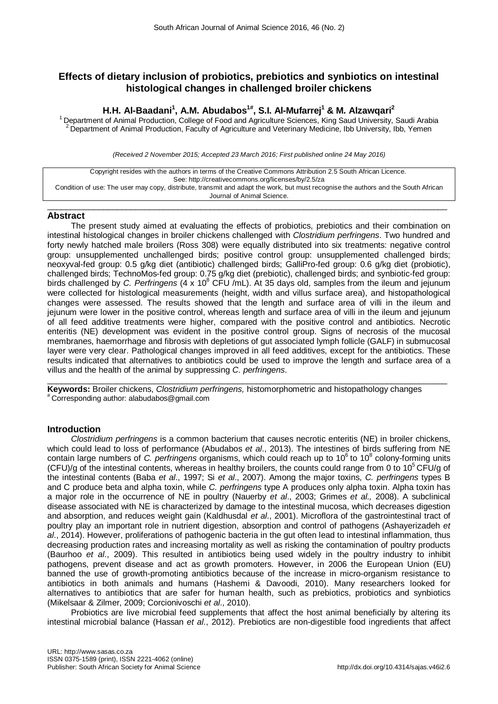# **Effects of dietary inclusion of probiotics, prebiotics and synbiotics on intestinal histological changes in challenged broiler chickens**

# **H.H. Al-Baadani1 , A.M. Abudabos1#, S.I. Al-Mufarrej1 & M. Alzawqari2**

<sup>1</sup> Department of Animal Production, College of Food and Agriculture Sciences, King Saud University, Saudi Arabia 2 Department of Animal Production, Faculty of Agriculture and Veterinary Medicine, Ibb University, Ibb, Yemen

*(Received 2 November 2015; Accepted 23 March 2016; First published online 24 May 2016)*

Copyright resides with the authors in terms of the Creative Commons Attribution 2.5 South African Licence. See: http://creativecommons.org/licenses/by/2.5/za Condition of use: The user may copy, distribute, transmit and adapt the work, but must recognise the authors and the South African Journal of Animal Science.

 $\_$  ,  $\_$  ,  $\_$  ,  $\_$  ,  $\_$  ,  $\_$  ,  $\_$  ,  $\_$  ,  $\_$  ,  $\_$  ,  $\_$  ,  $\_$  ,  $\_$  ,  $\_$  ,  $\_$  ,  $\_$  ,  $\_$  ,  $\_$  ,  $\_$  ,  $\_$  ,  $\_$  ,  $\_$  ,  $\_$  ,  $\_$  ,  $\_$  ,  $\_$  ,  $\_$  ,  $\_$  ,  $\_$  ,  $\_$  ,  $\_$  ,  $\_$  ,  $\_$  ,  $\_$  ,  $\_$  ,  $\_$  ,  $\_$  ,

## **Abstract**

The present study aimed at evaluating the effects of probiotics, prebiotics and their combination on intestinal histological changes in broiler chickens challenged with *Clostridium perfringens*. Two hundred and forty newly hatched male broilers (Ross 308) were equally distributed into six treatments: negative control group: unsupplemented unchallenged birds; positive control group: unsupplemented challenged birds; neoxyval-fed group: 0.5 g/kg diet (antibiotic) challenged birds; GalliPro-fed group: 0.6 g/kg diet (probiotic), challenged birds; TechnoMos-fed group: 0.75 g/kg diet (prebiotic), challenged birds; and synbiotic-fed group: birds challenged by *C. Perfringens* (4 x 10<sup>8</sup> CFU /mL). At 35 days old, samples from the ileum and jejunum were collected for histological measurements (height, width and villus surface area), and histopathological changes were assessed. The results showed that the length and surface area of villi in the ileum and jejunum were lower in the positive control, whereas length and surface area of villi in the ileum and jejunum of all feed additive treatments were higher, compared with the positive control and antibiotics. Necrotic enteritis (NE) development was evident in the positive control group. Signs of necrosis of the mucosal membranes, haemorrhage and fibrosis with depletions of gut associated lymph follicle (GALF) in submucosal layer were very clear. Pathological changes improved in all feed additives, except for the antibiotics. These results indicated that alternatives to antibiotics could be used to improve the length and surface area of a villus and the health of the animal by suppressing *C. perfringens*.

 $\_$  ,  $\_$  ,  $\_$  ,  $\_$  ,  $\_$  ,  $\_$  ,  $\_$  ,  $\_$  ,  $\_$  ,  $\_$  ,  $\_$  ,  $\_$  ,  $\_$  ,  $\_$  ,  $\_$  ,  $\_$  ,  $\_$  ,  $\_$  ,  $\_$  ,  $\_$  ,  $\_$  ,  $\_$  ,  $\_$  ,  $\_$  ,  $\_$  ,  $\_$  ,  $\_$  ,  $\_$  ,  $\_$  ,  $\_$  ,  $\_$  ,  $\_$  ,  $\_$  ,  $\_$  ,  $\_$  ,  $\_$  ,  $\_$  , **Keywords:** Broiler chickens, *Clostridium perfringens,* histomorphometric and histopathology changes<br><sup>#</sup> Corresponding author: [alabudabos@gmail.com](mailto:alabudabos@gmail.com)

## **Introduction**

*Clostridium perfringens* is a common bacterium that causes necrotic enteritis (NE) in broiler chickens, which could lead to loss of performance (Abudabos *et al*., 2013). The intestines of birds suffering from NE contain large numbers of *C. perfringens* organisms, which could reach up to 10<sup>6</sup> to 10<sup>8</sup> colony-forming units (CFU)/g of the intestinal contents, whereas in healthy broilers, the counts could range from 0 to 10<sup>5</sup> CFU/g of the intestinal contents (Baba *et al*., 1997; Si *et al*., 2007). Among the major toxins, *C. perfringens* types B and C produce beta and alpha toxin, while *C. perfringens* type A produces only alpha toxin. Alpha toxin has a major role in the occurrence of NE in poultry (Nauerby *et al*., 2003; Grimes *et al.,* 2008). A subclinical disease associated with NE is characterized by damage to the intestinal mucosa, which decreases digestion and absorption, and reduces weight gain (Kaldhusdal *et al*., 2001). Microflora of the gastrointestinal tract of poultry play an important role in nutrient digestion, absorption and control of pathogens (Ashayerizadeh *et al*., 2014). However, proliferations of pathogenic bacteria in the gut often lead to intestinal inflammation, thus decreasing production rates and increasing mortality as well as risking the contamination of poultry products (Baurhoo *et al*., 2009). This resulted in antibiotics being used widely in the poultry industry to inhibit pathogens, prevent disease and act as growth promoters. However, in 2006 the European Union (EU) banned the use of growth-promoting antibiotics because of the increase in micro-organism resistance to antibiotics in both animals and humans (Hashemi & Davoodi, 2010). Many researchers looked for alternatives to antibiotics that are safer for human health, such as prebiotics, probiotics and synbiotics (Mikelsaar & Zilmer, 2009; Corcionivoschi *et al*., 2010).

Probiotics are live microbial feed supplements that affect the host animal beneficially by altering its intestinal microbial balance (Hassan *et al*., 2012). Prebiotics are non-digestible food ingredients that affect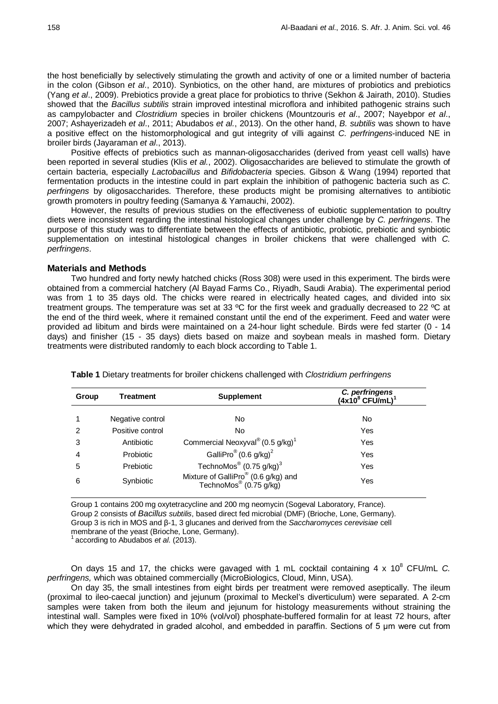the host beneficially by selectively stimulating the growth and activity of one or a limited number of bacteria in the colon (Gibson *et al*., 2010). Synbiotics, on the other hand, are mixtures of probiotics and prebiotics (Yang *et al*., 2009). Prebiotics provide a great place for probiotics to thrive (Sekhon & Jairath, 2010). Studies showed that the *Bacillus subtilis* strain improved intestinal microflora and inhibited pathogenic strains such as campylobacter and *Clostridium* species in broiler chickens (Mountzouris *et al*., 2007; Nayebpor *et al*., 2007; Ashayerizadeh *et al*., 2011; Abudabos *et al.*, 2013). On the other hand, *B. subtilis* was shown to have a positive effect on the histomorphological and gut integrity of villi against *C. perfringens*-induced NE in broiler birds (Jayaraman *et al*., 2013).

Positive effects of prebiotics such as mannan-oligosaccharides (derived from yeast cell walls) have been reported in several studies (Klis *et al.*, 2002). Oligosaccharides are believed to stimulate the growth of certain bacteria, especially *Lactobacillus* and *Bifidobacteria* species. Gibson & Wang (1994) reported that fermentation products in the intestine could in part explain the inhibition of pathogenic bacteria such as *C. perfringens* by oligosaccharides. Therefore, these products might be promising alternatives to antibiotic growth promoters in poultry feeding (Samanya & Yamauchi, 2002).

However, the results of previous studies on the effectiveness of eubiotic supplementation to poultry diets were inconsistent regarding the intestinal histological changes under challenge by *C. perfringens*. The purpose of this study was to differentiate between the effects of antibiotic, probiotic, prebiotic and synbiotic supplementation on intestinal histological changes in broiler chickens that were challenged with *C. perfringens*.

### **Materials and Methods**

Two hundred and forty newly hatched chicks (Ross 308) were used in this experiment. The birds were obtained from a commercial hatchery (Al Bayad Farms Co., Riyadh, Saudi Arabia). The experimental period was from 1 to 35 days old. The chicks were reared in electrically heated cages, and divided into six treatment groups. The temperature was set at 33 ºC for the first week and gradually decreased to 22 ºC at the end of the third week, where it remained constant until the end of the experiment. Feed and water were provided ad libitum and birds were maintained on a 24-hour light schedule. Birds were fed starter (0 - 14 days) and finisher (15 - 35 days) diets based on maize and soybean meals in mashed form. Dietary treatments were distributed randomly to each block according to Table 1.

| Treatment        | <b>Supplement</b>                                                                     | C. perfringens<br>$(4x10^8$ CFU/mL) <sup>1</sup> |  |
|------------------|---------------------------------------------------------------------------------------|--------------------------------------------------|--|
| Negative control | No                                                                                    | No                                               |  |
| Positive control | No                                                                                    | Yes                                              |  |
| Antibiotic       | Commercial Neoxyval® $(0.5 \text{ g/kg})^1$                                           | Yes                                              |  |
| <b>Probiotic</b> | GalliPro <sup>®</sup> (0.6 g/kg) <sup>2</sup>                                         | Yes                                              |  |
| Prebiotic        | TechnoMos® $(0.75 \text{ g/kg})^3$                                                    | Yes                                              |  |
| Synbiotic        | Mixture of GalliPro <sup>®</sup> (0.6 g/kg) and<br>TechnoMos <sup>®</sup> (0.75 g/kg) | Yes                                              |  |
|                  |                                                                                       |                                                  |  |

**Table 1** Dietary treatments for broiler chickens challenged with *Clostridium perfringens*

Group 1 contains 200 mg oxytetracycline and 200 mg neomycin (Sogeval Laboratory, France). Group 2 consists of *Bacillus subtilis*, based direct fed microbial (DMF) (Brioche, Lone, Germany). Group 3 is rich in MOS and β-1, 3 glucanes and derived from the *Saccharomyces cerevisiae* cell membrane of the yeast (Brioche, Lone, Germany). 1 according to Abudabos *et al*. (2013).

On days 15 and 17, the chicks were gavaged with 1 mL cocktail containing 4 x 10<sup>8</sup> CFU/mL *C*. *perfringens,* which was obtained commercially (MicroBiologics, Cloud, Minn, USA).

On day 35, the small intestines from eight birds per treatment were removed aseptically. The ileum (proximal to ileo-caecal junction) and jejunum (proximal to Meckel's diverticulum) were separated. A 2-cm samples were taken from both the ileum and jejunum for histology measurements without straining the intestinal wall. Samples were fixed in 10% (vol/vol) phosphate-buffered formalin for at least 72 hours, after which they were dehydrated in graded alcohol, and embedded in paraffin. Sections of 5 μm were cut from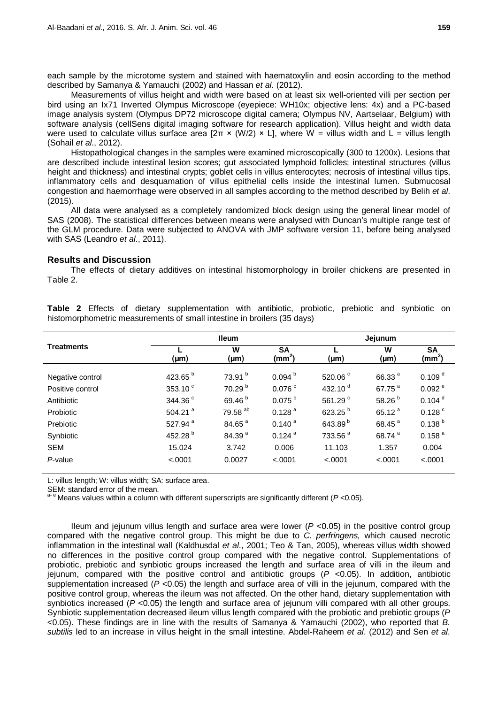each sample by the microtome system and stained with haematoxylin and eosin according to the method described by Samanya & Yamauchi (2002) and Hassan *et al.* (2012).

Measurements of villus height and width were based on at least six well-oriented villi per section per bird using an Ix71 Inverted Olympus Microscope (eyepiece: WH10x; objective lens: 4x) and a PC-based image analysis system (Olympus DP72 microscope digital camera; Olympus NV, Aartselaar, Belgium) with software analysis (cellSens digital imaging software for research application). Villus height and width data were used to calculate villus surface area  $[2\pi \times (W/2) \times L]$ , where W = villus width and L = villus length (Sohail *et al*., 2012).

Histopathological changes in the samples were examined microscopically (300 to 1200x). Lesions that are described include intestinal lesion scores; gut associated lymphoid follicles; intestinal structures (villus height and thickness) and intestinal crypts; goblet cells in villus enterocytes; necrosis of intestinal villus tips, inflammatory cells and desquamation of villus epithelial cells inside the intestinal lumen. Submucosal congestion and haemorrhage were observed in all samples according to the method described by Belih *et al*. (2015).

All data were analysed as a completely randomized block design using the general linear model of SAS (2008). The statistical differences between means were analysed with Duncan's multiple range test of the GLM procedure. Data were subjected to ANOVA with JMP software version 11, before being analysed with SAS (Leandro *et al*., 2011).

### **Results and Discussion**

The effects of dietary additives on intestinal histomorphology in broiler chickens are presented in Table 2.

| <b>Treatments</b> | <b>Ileum</b>        |                    |                                 | Jejunum             |                    |                                 |
|-------------------|---------------------|--------------------|---------------------------------|---------------------|--------------------|---------------------------------|
|                   | $(\mu m)$           | W<br>(µm)          | <b>SA</b><br>(mm <sup>2</sup> ) | $(\mu m)$           | W<br>$(\mu m)$     | <b>SA</b><br>(mm <sup>2</sup> ) |
| Negative control  | 423.65 <sup>b</sup> | 73.91 <sup>b</sup> | 0.094 <sup>b</sup>              | 520.06 <sup>c</sup> | 66.33 <sup>a</sup> | 0.109 <sup>d</sup>              |
| Positive control  | 353.10 <sup>c</sup> | 70.29 <sup>b</sup> | $0.076$ $\degree$               | 432.10 $d$          | 67.75 <sup>a</sup> | 0.092e                          |
| Antibiotic        | 344.36 <sup>c</sup> | 69.46 <sup>b</sup> | $0.075$ <sup>c</sup>            | 561.29 <sup>c</sup> | 58.26 <sup>b</sup> | $0.104$ <sup>d</sup>            |
| Probiotic         | 504.21 $a$          | 79.58 ab           | 0.128 <sup>a</sup>              | 623.25 <sup>b</sup> | 65.12 <sup>a</sup> | $0.128$ <sup>c</sup>            |
| Prebiotic         | 527.94 <sup>a</sup> | 84.65 <sup>a</sup> | $0.140^{a}$                     | 643.89 <sup>b</sup> | 68.45 <sup>a</sup> | $0.138^{b}$                     |
| Synbiotic         | 452.28 $b$          | 84.39 <sup>a</sup> | $0.124$ <sup>a</sup>            | 733.56 <sup>a</sup> | 68.74 <sup>a</sup> | $0.158$ <sup>a</sup>            |
| <b>SEM</b>        | 15.024              | 3.742              | 0.006                           | 11.103              | 1.357              | 0.004                           |
| $P$ -value        | < .0001             | 0.0027             | < .0001                         | < .0001             | < .0001            | < .0001                         |

**Table 2** Effects of dietary supplementation with antibiotic, probiotic, prebiotic and synbiotic on histomorphometric measurements of small intestine in broilers (35 days)

L: villus length; W: villus width; SA: surface area.

SEM: standard error of the mean.<br><sup>a- e</sup> Means values within a column with different superscripts are significantly different (*P* <0.05).

Ileum and jejunum villus length and surface area were lower (*P* <0.05) in the positive control group compared with the negative control group. This might be due to *C. perfringens,* which caused necrotic inflammation in the intestinal wall (Kaldhusdal *et al*., 2001; Teo & Tan, 2005), whereas villus width showed no differences in the positive control group compared with the negative control. Supplementations of probiotic, prebiotic and synbiotic groups increased the length and surface area of villi in the ileum and jejunum, compared with the positive control and antibiotic groups (*P* <0.05). In addition, antibiotic supplementation increased (*P* <0.05) the length and surface area of villi in the jejunum, compared with the positive control group, whereas the ileum was not affected. On the other hand, dietary supplementation with synbiotics increased ( $P$  <0.05) the length and surface area of jejunum villi compared with all other groups. Synbiotic supplementation decreased ileum villus length compared with the probiotic and prebiotic groups (*P* <0.05). These findings are in line with the results of Samanya & Yamauchi (2002), who reported that *B. subtilis* led to an increase in villus height in the small intestine. Abdel-Raheem *et al*. (2012) and Sen *et al*.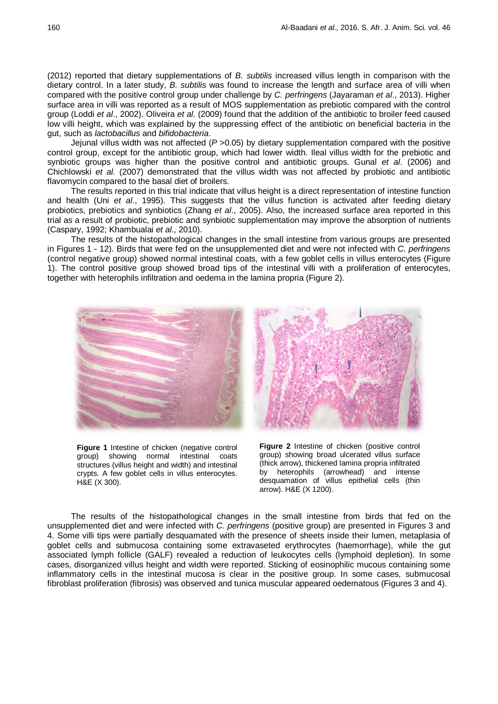(2012) reported that dietary supplementations of *B. subtilis* increased villus length in comparison with the dietary control. In a later study, *B. subtilis* was found to increase the length and surface area of villi when compared with the positive control group under challenge by *C. perfringens* (Jayaraman *et al*., 2013). Higher surface area in villi was reported as a result of MOS supplementation as prebiotic compared with the control group (Loddi *et al*., 2002). Oliveira *et al*. (2009) found that the addition of the antibiotic to broiler feed caused low villi height, which was explained by the suppressing effect of the antibiotic on beneficial bacteria in the gut, such as *lactobacillus* and *bifidobacteria*.

Jejunal villus width was not affected (*P* >0.05) by dietary supplementation compared with the positive control group, except for the antibiotic group, which had lower width. Ileal villus width for the prebiotic and synbiotic groups was higher than the positive control and antibiotic groups. Gunal *et al*. (2006) and Chichlowski *et al.* (2007) demonstrated that the villus width was not affected by probiotic and antibiotic flavomycin compared to the basal diet of broilers.

The results reported in this trial indicate that villus height is a direct representation of intestine function and health (Uni *et al*., 1995). This suggests that the villus function is activated after feeding dietary probiotics, prebiotics and synbiotics (Zhang *et al*., 2005). Also, the increased surface area reported in this trial as a result of probiotic, prebiotic and synbiotic supplementation may improve the absorption of nutrients (Caspary, 1992; Khambualai *et al*., 2010).

The results of the histopathological changes in the small intestine from various groups are presented in Figures 1 - 12). Birds that were fed on the unsupplemented diet and were not infected with *C. perfringens* (control negative group) showed normal intestinal coats, with a few goblet cells in villus enterocytes (Figure 1). The control positive group showed broad tips of the intestinal villi with a proliferation of enterocytes, together with heterophils infiltration and oedema in the lamina propria (Figure 2).



**Figure 1** Intestine of chicken (negative control group) showing normal intestinal coats structures (villus height and width) and intestinal crypts. A few goblet cells in villus enterocytes. H&E (X 300).



**Figure 2** Intestine of chicken (positive control group) showing broad ulcerated villus surface (thick arrow), thickened lamina propria infiltrated by heterophils (arrowhead) and intense desquamation of villus epithelial cells (thin arrow). H&E (X 1200).

The results of the histopathological changes in the small intestine from birds that fed on the unsupplemented diet and were infected with *C. perfringens* (positive group) are presented in Figures 3 and 4. Some villi tips were partially desquamated with the presence of sheets inside their lumen, metaplasia of goblet cells and submucosa containing some extravaseted erythrocytes (haemorrhage), while the gut associated lymph follicle (GALF) revealed a reduction of leukocytes cells (lymphoid depletion). In some cases, disorganized villus height and width were reported. Sticking of eosinophilic mucous containing some inflammatory cells in the intestinal mucosa is clear in the positive group. In some cases, submucosal fibroblast proliferation (fibrosis) was observed and tunica muscular appeared oedematous (Figures 3 and 4).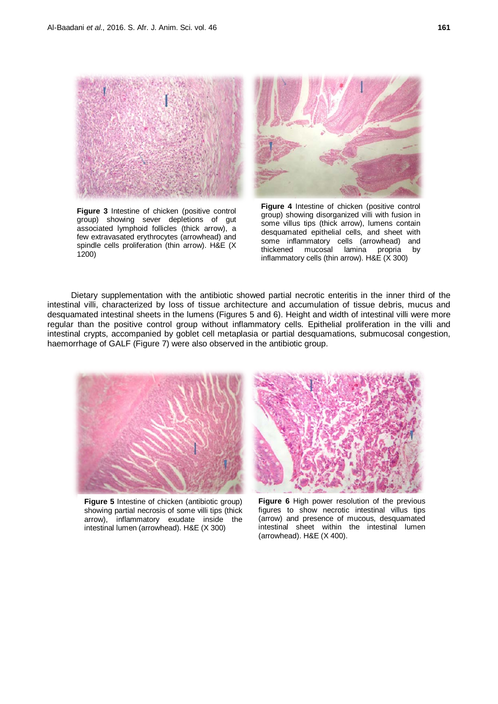

**Figure 3** Intestine of chicken (positive control group) showing sever depletions of gut associated lymphoid follicles (thick arrow), a few extravasated erythrocytes (arrowhead) and spindle cells proliferation (thin arrow). H&E (X 1200)

**Figure 4** Intestine of chicken (positive control group) showing disorganized villi with fusion in some villus tips (thick arrow), lumens contain desquamated epithelial cells, and sheet with some inflammatory cells (arrowhead) and<br>thickened mucosal lamina propria by lamina propria inflammatory cells (thin arrow). H&E (X 300)

Dietary supplementation with the antibiotic showed partial necrotic enteritis in the inner third of the intestinal villi, characterized by loss of tissue architecture and accumulation of tissue debris, mucus and desquamated intestinal sheets in the lumens (Figures 5 and 6). Height and width of intestinal villi were more regular than the positive control group without inflammatory cells. Epithelial proliferation in the villi and intestinal crypts, accompanied by goblet cell metaplasia or partial desquamations, submucosal congestion, haemorrhage of GALF (Figure 7) were also observed in the antibiotic group.



**Figure 5** Intestine of chicken (antibiotic group) showing partial necrosis of some villi tips (thick arrow), inflammatory exudate inside the intestinal lumen (arrowhead). H&E (X 300)

**Figure 6** High power resolution of the previous figures to show necrotic intestinal villus tips (arrow) and presence of mucous, desquamated intestinal sheet within the intestinal lumen (arrowhead). H&E (X 400).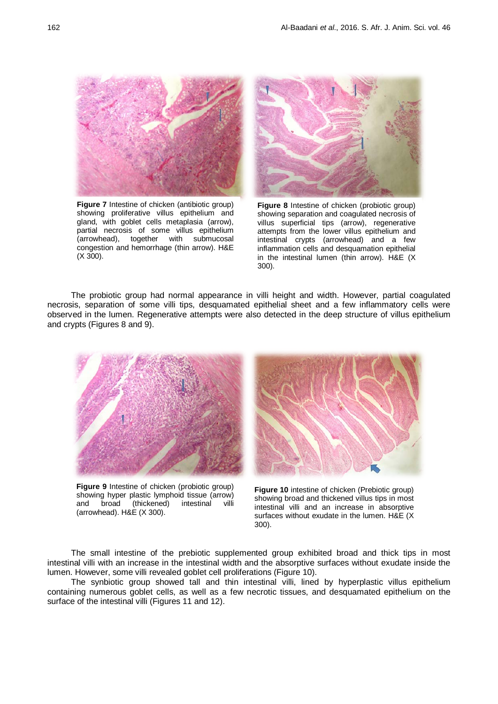

**Figure 7** Intestine of chicken (antibiotic group) showing proliferative villus epithelium and gland, with goblet cells metaplasia (arrow), partial necrosis of some villus epithelium (arrowhead), together with submucosal congestion and hemorrhage (thin arrow). H&E (X 300).



**Figure 8** Intestine of chicken (probiotic group) showing separation and coagulated necrosis of villus superficial tips (arrow), regenerative attempts from the lower villus epithelium and intestinal crypts (arrowhead) and a few inflammation cells and desquamation epithelial in the intestinal lumen (thin arrow). H&E (X 300).

The probiotic group had normal appearance in villi height and width. However, partial coagulated necrosis, separation of some villi tips, desquamated epithelial sheet and a few inflammatory cells were observed in the lumen. Regenerative attempts were also detected in the deep structure of villus epithelium and crypts (Figures 8 and 9).



**Figure 9** Intestine of chicken (probiotic group) showing hyper plastic lymphoid tissue (arrow) and broad (thickened) intestinal villi (arrowhead). H&E (X 300).

**Figure 10** intestine of chicken (Prebiotic group) showing broad and thickened villus tips in most intestinal villi and an increase in absorptive surfaces without exudate in the lumen. H&E (X 300).

The small intestine of the prebiotic supplemented group exhibited broad and thick tips in most intestinal villi with an increase in the intestinal width and the absorptive surfaces without exudate inside the lumen. However, some villi revealed goblet cell proliferations (Figure 10).

The synbiotic group showed tall and thin intestinal villi, lined by hyperplastic villus epithelium containing numerous goblet cells, as well as a few necrotic tissues, and desquamated epithelium on the surface of the intestinal villi (Figures 11 and 12).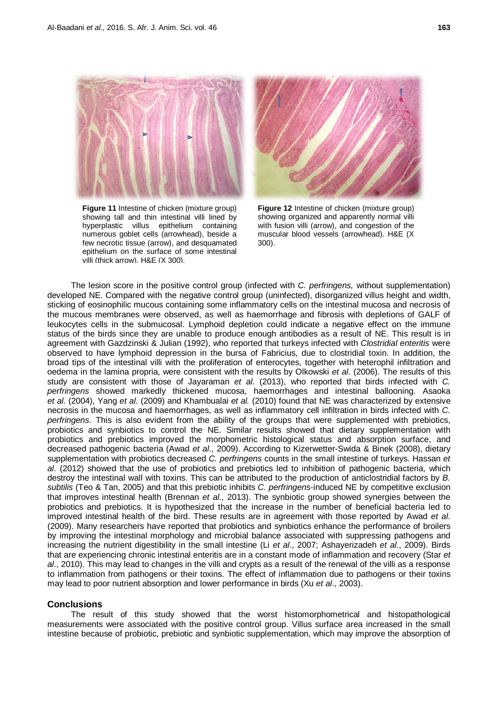

**Figure 11** Intestine of chicken (mixture group) showing tall and thin intestinal villi lined by hyperplastic villus epithelium containing numerous goblet cells (arrowhead), beside a few necrotic tissue (arrow), and desquamated epithelium on the surface of some intestinal villi (thick arrow). H&E (X 300).



**Figure 12** Intestine of chicken (mixture group) showing organized and apparently normal villi with fusion villi (arrow), and congestion of the muscular blood vessels (arrowhead). H&E (X 300).

The lesion score in the positive control group (infected with *C. perfringens,* without supplementation) developed NE. Compared with the negative control group (uninfected), disorganized villus height and width, sticking of eosinophilic mucous containing some inflammatory cells on the intestinal mucosa and necrosis of the mucous membranes were observed, as well as haemorrhage and fibrosis with depletions of GALF of leukocytes cells in the submucosal. Lymphoid depletion could indicate a negative effect on the immune status of the birds since they are unable to produce enough antibodies as a result of NE. This result is in agreement with Gazdzinski & Julian (1992), who reported that turkeys infected with *Clostridial enteritis* were observed to have lymphoid depression in the bursa of Fabricius, due to clostridial toxin. In addition, the broad tips of the intestinal villi with the proliferation of enterocytes, together with heterophil infiltration and oedema in the lamina propria, were consistent with the results by Olkowski *et al*. (2006). The results of this study are consistent with those of Jayaraman *et al*. (2013), who reported that birds infected with *C. perfringens* showed markedly thickened mucosa, haemorrhages and intestinal ballooning. Asaoka *et al*. (2004), Yang *et al*. (2009) and Khambualai *et al.* (2010) found that NE was characterized by extensive necrosis in the mucosa and haemorrhages, as well as inflammatory cell infiltration in birds infected with *C. perfringens*. This is also evident from the ability of the groups that were supplemented with prebiotics, probiotics and synbiotics to control the NE. Similar results showed that dietary supplementation with probiotics and prebiotics improved the morphometric histological status and absorption surface, and decreased pathogenic bacteria (Awad *et al*., 2009). According to Kizerwetter-Swida & Binek (2008), dietary supplementation with probiotics decreased *C. perfringens* counts in the small intestine of turkeys. Hassan *et al*. (2012) showed that the use of probiotics and prebiotics led to inhibition of pathogenic bacteria, which destroy the intestinal wall with toxins. This can be attributed to the production of anticlostridial factors by *B. subtilis* (Teo & Tan, 2005) and that this prebiotic inhibits *C. perfringens*-induced NE by competitive exclusion that improves intestinal health (Brennan *et al*., 2013). The synbiotic group showed synergies between the probiotics and prebiotics. It is hypothesized that the increase in the number of beneficial bacteria led to improved intestinal health of the bird. These results are in agreement with those reported by Awad *et al*. (2009). Many researchers have reported that probiotics and synbiotics enhance the performance of broilers by improving the intestinal morphology and microbial balance associated with suppressing pathogens and increasing the nutrient digestibility in the small intestine (Li *et al*., 2007; Ashayerizadeh *et al*., 2009). Birds that are experiencing chronic intestinal enteritis are in a constant mode of inflammation and recovery (Star *et al*., 2010). This may lead to changes in the villi and crypts as a result of the renewal of the villi as a response to inflammation from pathogens or their toxins. The effect of inflammation due to pathogens or their toxins may lead to poor nutrient absorption and lower performance in birds (Xu *et al*., 2003).

### **Conclusions**

The result of this study showed that the worst histomorphometrical and histopathological measurements were associated with the positive control group. Villus surface area increased in the small intestine because of probiotic, prebiotic and synbiotic supplementation, which may improve the absorption of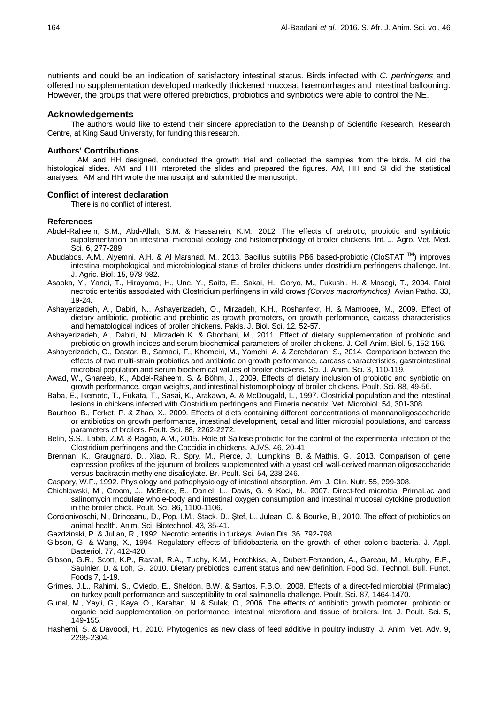nutrients and could be an indication of satisfactory intestinal status. Birds infected with *C. perfringens* and offered no supplementation developed markedly thickened mucosa, haemorrhages and intestinal ballooning. However, the groups that were offered prebiotics, probiotics and synbiotics were able to control the NE.

### **Acknowledgements**

The authors would like to extend their sincere appreciation to the Deanship of Scientific Research, Research Centre, at King Saud University, for funding this research.

#### **Authors' Contributions**

AM and HH designed, conducted the growth trial and collected the samples from the birds. M did the histological slides. AM and HH interpreted the slides and prepared the figures. AM, HH and SI did the statistical analyses. AM and HH wrote the manuscript and submitted the manuscript.

#### **Conflict of interest declaration**

There is no conflict of interest.

#### **References**

- Abdel-Raheem, S.M., Abd-Allah, S.M. & Hassanein, K.M., 2012. The effects of prebiotic, probiotic and synbiotic supplementation on intestinal microbial ecology and histomorphology of broiler chickens. Int. J. Agro. Vet. Med. Sci. 6, 277-289.
- Abudabos, A.M., Alyemni, A.H. & Al Marshad, M., 2013. Bacillus subtilis PB6 based-probiotic (CloSTAT ™) improves intestinal morphological and microbiological status of broiler chickens under clostridium perfringens challenge. Int. J. Agric. Biol. 15, 978-982.
- Asaoka, Y., Yanai, T., Hirayama, H., Une, Y., Saito, E., Sakai, H., Goryo, M., Fukushi, H. & Masegi, T., 2004. Fatal necrotic enteritis associated with Clostridium perfringens in wild crows *(Corvus macrorhynchos)*. Avian Patho. 33, 19-24.
- Ashayerizadeh, A., Dabiri, N., Ashayerizadeh, O., Mirzadeh, K.H., Roshanfekr, H. & Mamooee, M., 2009. Effect of dietary antibiotic, probiotic and prebiotic as growth promoters, on growth performance, carcass characteristics and hematological indices of broiler chickens. Pakis. J. Biol. Sci. 12, 52-57.
- Ashayerizadeh, A., Dabiri, N., Mirzadeh K. & Ghorbani, M., 2011. Effect of dietary supplementation of probiotic and prebiotic on growth indices and serum biochemical parameters of broiler chickens. J. Cell Anim. Biol. 5, 152-156.
- Ashayerizadeh, O., Dastar, B., Samadi, F., Khomeiri, M., Yamchi, A. & Zerehdaran, S., 2014. Comparison between the effects of two multi-strain probiotics and antibiotic on growth performance, carcass characteristics, gastrointestinal microbial population and serum biochemical values of broiler chickens. Sci. J. Anim. Sci. 3, 110-119.
- Awad, W., Ghareeb, K., Abdel-Raheem, S. & Böhm, J., 2009. Effects of dietary inclusion of probiotic and synbiotic on growth performance, organ weights, and intestinal histomorphology of broiler chickens. Poult. Sci. 88, 49-56.
- Baba, E., Ikemoto, T., Fukata, T., Sasai, K., Arakawa, A. & McDougald, L., 1997. Clostridial population and the intestinal lesions in chickens infected with Clostridium perfringens and Eimeria necatrix. Vet. Microbiol. 54, 301-308.
- Baurhoo, B., Ferket, P. & Zhao, X., 2009. Effects of diets containing different concentrations of mannanoligosaccharide or antibiotics on growth performance, intestinal development, cecal and litter microbial populations, and carcass parameters of broilers. Poult. Sci. 88, 2262-2272.
- Belih, S.S., Labib, Z.M. & Ragab, A.M., 2015. Role of Saltose probiotic for the control of the experimental infection of the Clostridium perfringens and the Coccidia in chickens. AJVS. 46, 20-41.
- Brennan, K., Graugnard, D., Xiao, R., Spry, M., Pierce, J., Lumpkins, B. & Mathis, G., 2013. Comparison of gene expression profiles of the jejunum of broilers supplemented with a yeast cell wall-derived mannan oligosaccharide versus bacitractin methylene disalicylate. Br. Poult. Sci. 54, 238-246.
- Caspary, W.F., 1992. Physiology and pathophysiology of intestinal absorption. Am. J. Clin. Nutr. 55, 299-308.
- Chichlowski, M., Croom, J., McBride, B., Daniel, L., Davis, G. & Koci, M., 2007. Direct-fed microbial PrimaLac and salinomycin modulate whole-body and intestinal oxygen consumption and intestinal mucosal cytokine production in the broiler chick. Poult. Sci. 86, 1100-1106.
- Corcionivoschi, N., Drinceanu, D., Pop, I.M., Stack, D., Ştef, L., Julean, C. & Bourke, B., 2010. The effect of probiotics on animal health. Anim. Sci. Biotechnol. 43, 35-41.
- Gazdzinski, P. & Julian, R., 1992. Necrotic enteritis in turkeys. Avian Dis. 36, 792-798.
- Gibson, G. & Wang, X., 1994. Regulatory effects of bifidobacteria on the growth of other colonic bacteria. J. Appl. Bacteriol. 77, 412-420.
- Gibson, G.R., Scott, K.P., Rastall, R.A., Tuohy, K.M., Hotchkiss, A., Dubert-Ferrandon, A., Gareau, M., Murphy, E.F., Saulnier, D. & Loh, G., 2010. Dietary prebiotics: current status and new definition. Food Sci. Technol. Bull. Funct. Foods 7, 1-19.
- Grimes, J.L., Rahimi, S., Oviedo, E., Sheldon, B.W. & Santos, F.B.O., 2008. Effects of a direct-fed microbial (Primalac) on turkey poult performance and susceptibility to oral salmonella challenge. Poult. Sci. 87, 1464-1470.
- Gunal, M., Yayli, G., Kaya, O., Karahan, N. & Sulak, O., 2006. The effects of antibiotic growth promoter, probiotic or organic acid supplementation on performance, intestinal microflora and tissue of broilers. Int. J. Poult. Sci. 5, 149-155.
- Hashemi, S. & Davoodi, H., 2010. Phytogenics as new class of feed additive in poultry industry. J. Anim. Vet. Adv. 9, 2295-2304.